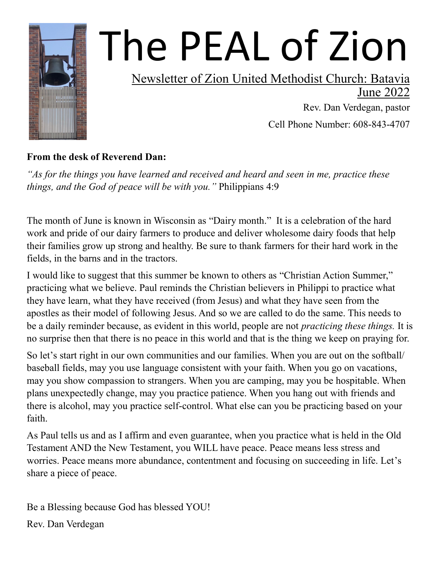

# The PEAL of Zion

### Newsletter of Zion United Methodist Church: Batavia

June 2022

 Rev. Dan Verdegan, pastor Cell Phone Number: 608-843-4707

### **From the desk of Reverend Dan:**

*"As for the things you have learned and received and heard and seen in me, practice these things, and the God of peace will be with you."* Philippians 4:9

The month of June is known in Wisconsin as "Dairy month." It is a celebration of the hard work and pride of our dairy farmers to produce and deliver wholesome dairy foods that help their families grow up strong and healthy. Be sure to thank farmers for their hard work in the fields, in the barns and in the tractors.

I would like to suggest that this summer be known to others as "Christian Action Summer," practicing what we believe. Paul reminds the Christian believers in Philippi to practice what they have learn, what they have received (from Jesus) and what they have seen from the apostles as their model of following Jesus. And so we are called to do the same. This needs to be a daily reminder because, as evident in this world, people are not *practicing these things.* It is no surprise then that there is no peace in this world and that is the thing we keep on praying for.

So let's start right in our own communities and our families. When you are out on the softball/ baseball fields, may you use language consistent with your faith. When you go on vacations, may you show compassion to strangers. When you are camping, may you be hospitable. When plans unexpectedly change, may you practice patience. When you hang out with friends and there is alcohol, may you practice self-control. What else can you be practicing based on your faith.

As Paul tells us and as I affirm and even guarantee, when you practice what is held in the Old Testament AND the New Testament, you WILL have peace. Peace means less stress and worries. Peace means more abundance, contentment and focusing on succeeding in life. Let's share a piece of peace.

Be a Blessing because God has blessed YOU!

Rev. Dan Verdegan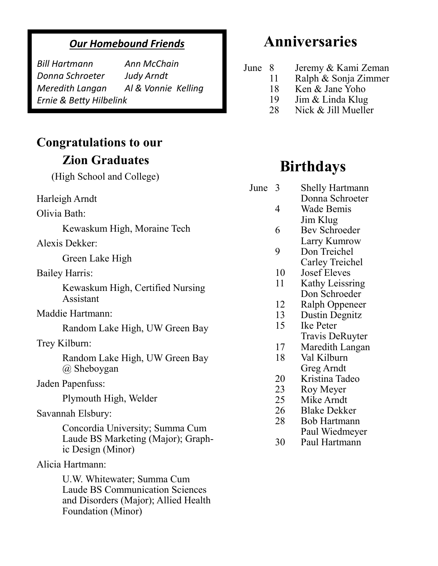### *Our Homebound Friends*

*Bill Hartmann Ann McChain Donna Schroeter Judy Arndt Ernie & Betty Hilbelink*

*Meredith Langan Al & Vonnie Kelling*

### **Congratulations to our Zion Graduates**

(High School and College)

Harleigh Arndt

Olivia Bath:

Kewaskum High, Moraine Tech

Alexis Dekker:

Green Lake High

Bailey Harris:

Kewaskum High, Certified Nursing Assistant

Maddie Hartmann:

Random Lake High, UW Green Bay

Trey Kilburn:

Random Lake High, UW Green Bay @ Sheboygan

Jaden Papenfuss:

Plymouth High, Welder

Savannah Elsbury:

Concordia University; Summa Cum Laude BS Marketing (Major); Graphic Design (Minor)

Alicia Hartmann:

U.W. Whitewater; Summa Cum Laude BS Communication Sciences and Disorders (Major); Allied Health Foundation (Minor)

### **Anniversaries**

- June 8 Jeremy & Kami Zeman
	- 11 Ralph & Sonja Zimmer
	- 18 Ken & Jane Yoho
	- 19 Jim & Linda Klug
	- 28 Nick & Jill Mueller

### **Birthdays**

- June 3 Shelly Hartmann
	- Donna Schroeter 4 Wade Bemis
	- Jim Klug 6 Bev Schroeder
	- Larry Kumrow
	- 9 Don Treichel Carley Treichel
	- 10 Josef Eleves
	- 11 Kathy Leissring Don Schroeder
	- 12 Ralph Oppeneer
	- 13 Dustin Degnitz
	- 15 Ike Peter
		- Travis DeRuyter
	- 17 Maredith Langan
	- 18 Val Kilburn Greg Arndt
	- 20 Kristina Tadeo
	- 23 Roy Meyer
	- 25 Mike Arndt
	- 26 Blake Dekker
	- 28 Bob Hartmann
		- Paul Wiedmeyer
	- 30 Paul Hartmann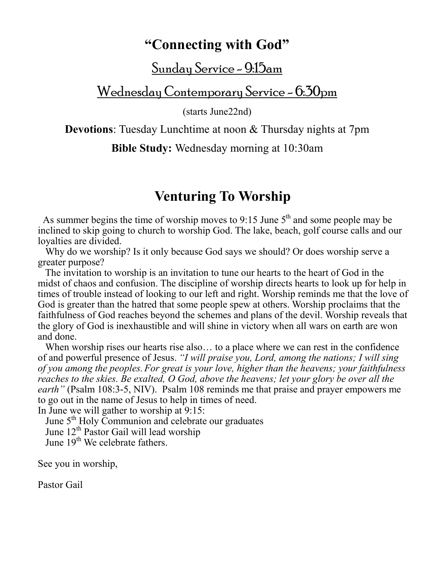### **"Connecting with God"**

<u>Sunday Service - 9:15am</u>

Wednesday Contemporary Service - 6:30pm

(starts June22nd)

**Devotions**: Tuesday Lunchtime at noon & Thursday nights at 7pm

**Bible Study:** Wednesday morning at 10:30am

### **Venturing To Worship**

As summer begins the time of worship moves to 9:15 June  $5<sup>th</sup>$  and some people may be inclined to skip going to church to worship God. The lake, beach, golf course calls and our loyalties are divided.

Why do we worship? Is it only because God says we should? Or does worship serve a greater purpose?

 The invitation to worship is an invitation to tune our hearts to the heart of God in the midst of chaos and confusion. The discipline of worship directs hearts to look up for help in times of trouble instead of looking to our left and right. Worship reminds me that the love of God is greater than the hatred that some people spew at others. Worship proclaims that the faithfulness of God reaches beyond the schemes and plans of the devil. Worship reveals that the glory of God is inexhaustible and will shine in victory when all wars on earth are won and done.

When worship rises our hearts rise also... to a place where we can rest in the confidence of and powerful presence of Jesus. *"I will praise you, Lord, among the nations; I will sing of you among the peoples.For great is your love, higher than the heavens; your faithfulness reaches to the skies. Be exalted, O God, above the heavens; let your glory be over all the earth"* ([Psalm 108:3-5,](https://www.biblestudytools.com/psalms/passage/?q=psalms+108:3-5) NIV). [Psalm 108](https://www.biblestudytools.com/psalms/108.html) reminds me that praise and [prayer](https://www.crosswalk.com/faith/prayer/) empowers me to go out in the name of Jesus to help in times of need.

In June we will gather to worship at 9:15:

June  $5<sup>th</sup>$  Holy Communion and celebrate our graduates

June 12th Pastor Gail will lead worship

June  $19^{th}$  We celebrate fathers.

See you in worship,

Pastor Gail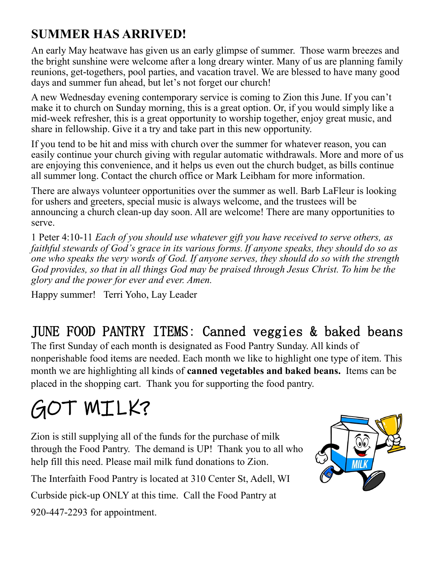### **SUMMER HAS ARRIVED!**

An early May heatwave has given us an early glimpse of summer. Those warm breezes and the bright sunshine were welcome after a long dreary winter. Many of us are planning family reunions, get-togethers, pool parties, and vacation travel. We are blessed to have many good days and summer fun ahead, but let's not forget our church!

A new Wednesday evening contemporary service is coming to Zion this June. If you can't make it to church on Sunday morning, this is a great option. Or, if you would simply like a mid-week refresher, this is a great opportunity to worship together, enjoy great music, and share in fellowship. Give it a try and take part in this new opportunity.

If you tend to be hit and miss with church over the summer for whatever reason, you can easily continue your church giving with regular automatic withdrawals. More and more of us are enjoying this convenience, and it helps us even out the church budget, as bills continue all summer long. Contact the church office or Mark Leibham for more information.

There are always volunteer opportunities over the summer as well. Barb LaFleur is looking for ushers and greeters, special music is always welcome, and the trustees will be announcing a church clean-up day soon. All are welcome! There are many opportunities to serve.

1 Peter 4:10-11 *Each of you should use whatever gift you have received to serve others, as faithful stewards of God's grace in its various forms. If anyone speaks, they should do so as one who speaks the very words of God. If anyone serves, they should do so with the strength God provides, so that in all things God may be praised through Jesus Christ. To him be the glory and the power for ever and ever. Amen.*

Happy summer! Terri Yoho, Lay Leader

### JUNE FOOD PANTRY ITEMS: Canned veggies & baked beans

The first Sunday of each month is designated as Food Pantry Sunday. All kinds of nonperishable food items are needed. Each month we like to highlight one type of item. This month we are highlighting all kinds of **canned vegetables and baked beans.** Items can be placed in the shopping cart. Thank you for supporting the food pantry.

## GOT MILK?

Zion is still supplying all of the funds for the purchase of milk through the Food Pantry. The demand is UP! Thank you to all who help fill this need. Please mail milk fund donations to Zion.

The Interfaith Food Pantry is located at 310 Center St, Adell, WI

Curbside pick-up ONLY at this time. Call the Food Pantry at

920-447-2293 for appointment.

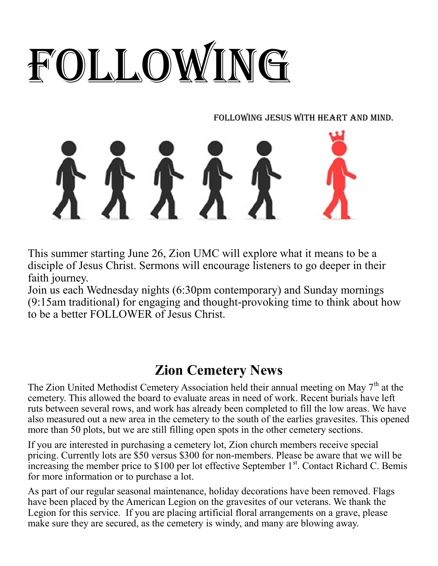# FOLLOWING

Following Jesus with Heart and Mind.

This summer starting June 26, Zion UMC will explore what it means to be a disciple of Jesus Christ. Sermons will encourage listeners to go deeper in their faith journey.

Join us each Wednesday nights (6:30pm contemporary) and Sunday mornings (9:15am traditional) for engaging and thought-provoking time to think about how to be a better FOLLOWER of Jesus Christ.

### **Zion Cemetery News**

The Zion United Methodist Cemetery Association held their annual meeting on May  $7<sup>th</sup>$  at the cemetery. This allowed the board to evaluate areas in need of work. Recent burials have left ruts between several rows, and work has already been completed to fill the low areas. We have also measured out a new area in the cemetery to the south of the earlies gravesites. This opened more than 50 plots, but we are still filling open spots in the other cemetery sections.

If you are interested in purchasing a cemetery lot, Zion church members receive special pricing. Currently lots are \$50 versus \$300 for non-members. Please be aware that we will be increasing the member price to  $$100$  per lot effective September  $1<sup>st</sup>$ . Contact Richard C. Bemis for more information or to purchase a lot.

As part of our regular seasonal maintenance, holiday decorations have been removed. Flags have been placed by the American Legion on the gravesites of our veterans. We thank the Legion for this service. If you are placing artificial floral arrangements on a grave, please make sure they are secured, as the cemetery is windy, and many are blowing away.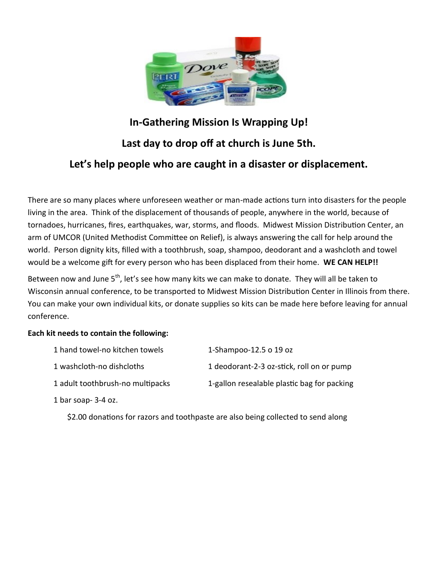

### **In-Gathering Mission Is Wrapping Up! Last day to drop off at church is June 5th. Let's help people who are caught in a disaster or displacement.**

There are so many places where unforeseen weather or man-made actions turn into disasters for the people living in the area. Think of the displacement of thousands of people, anywhere in the world, because of tornadoes, hurricanes, fires, earthquakes, war, storms, and floods. Midwest Mission Distribution Center, an arm of UMCOR (United Methodist Committee on Relief), is always answering the call for help around the world. Person dignity kits, filled with a toothbrush, soap, shampoo, deodorant and a washcloth and towel would be a welcome gift for every person who has been displaced from their home. **WE CAN HELP!!**

Between now and June 5<sup>th</sup>, let's see how many kits we can make to donate. They will all be taken to Wisconsin annual conference, to be transported to Midwest Mission Distribution Center in Illinois from there. You can make your own individual kits, or donate supplies so kits can be made here before leaving for annual conference.

### **Each kit needs to contain the following:**

| 1 hand towel-no kitchen towels   | 1-Shampoo-12.5 o 19 oz                      |
|----------------------------------|---------------------------------------------|
| 1 washcloth-no dishcloths        | 1 deodorant-2-3 oz-stick, roll on or pump   |
| 1 adult toothbrush-no multipacks | 1-gallon resealable plastic bag for packing |
| 1 bar soap- $3-4$ oz.            |                                             |

\$2.00 donations for razors and toothpaste are also being collected to send along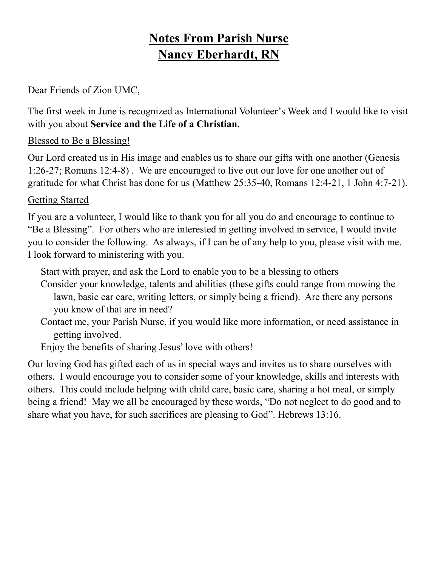### **Notes From Parish Nurse Nancy Eberhardt, RN**

Dear Friends of Zion UMC,

The first week in June is recognized as International Volunteer's Week and I would like to visit with you about **Service and the Life of a Christian.**

### Blessed to Be a Blessing!

Our Lord created us in His image and enables us to share our gifts with one another (Genesis 1:26-27; Romans 12:4-8) . We are encouraged to live out our love for one another out of gratitude for what Christ has done for us (Matthew 25:35-40, Romans 12:4-21, 1 John 4:7-21).

### Getting Started

If you are a volunteer, I would like to thank you for all you do and encourage to continue to "Be a Blessing". For others who are interested in getting involved in service, I would invite you to consider the following. As always, if I can be of any help to you, please visit with me. I look forward to ministering with you.

Start with prayer, and ask the Lord to enable you to be a blessing to others

- Consider your knowledge, talents and abilities (these gifts could range from mowing the lawn, basic car care, writing letters, or simply being a friend). Are there any persons you know of that are in need?
- Contact me, your Parish Nurse, if you would like more information, or need assistance in getting involved.

Enjoy the benefits of sharing Jesus' love with others!

Our loving God has gifted each of us in special ways and invites us to share ourselves with others. I would encourage you to consider some of your knowledge, skills and interests with others. This could include helping with child care, basic care, sharing a hot meal, or simply being a friend! May we all be encouraged by these words, "Do not neglect to do good and to share what you have, for such sacrifices are pleasing to God". Hebrews 13:16.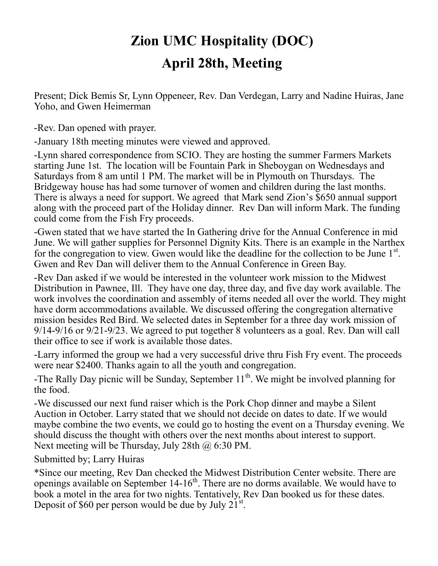### **Zion UMC Hospitality (DOC) April 28th, Meeting**

Present; Dick Bemis Sr, Lynn Oppeneer, Rev. Dan Verdegan, Larry and Nadine Huiras, Jane Yoho, and Gwen Heimerman

-Rev. Dan opened with prayer.

-January 18th meeting minutes were viewed and approved.

-Lynn shared correspondence from SCIO. They are hosting the summer Farmers Markets starting June 1st. The location will be Fountain Park in Sheboygan on Wednesdays and Saturdays from 8 am until 1 PM. The market will be in Plymouth on Thursdays. The Bridgeway house has had some turnover of women and children during the last months. There is always a need for support. We agreed that Mark send Zion's \$650 annual support along with the proceed part of the Holiday dinner. Rev Dan will inform Mark. The funding could come from the Fish Fry proceeds.

-Gwen stated that we have started the In Gathering drive for the Annual Conference in mid June. We will gather supplies for Personnel Dignity Kits. There is an example in the Narthex for the congregation to view. Gwen would like the deadline for the collection to be June  $1<sup>st</sup>$ . Gwen and Rev Dan will deliver them to the Annual Conference in Green Bay.

-Rev Dan asked if we would be interested in the volunteer work mission to the Midwest Distribution in Pawnee, Ill. They have one day, three day, and five day work available. The work involves the coordination and assembly of items needed all over the world. They might have dorm accommodations available. We discussed offering the congregation alternative mission besides Red Bird. We selected dates in September for a three day work mission of 9/14-9/16 or 9/21-9/23. We agreed to put together 8 volunteers as a goal. Rev. Dan will call their office to see if work is available those dates.

-Larry informed the group we had a very successful drive thru Fish Fry event. The proceeds were near \$2400. Thanks again to all the youth and congregation.

-The Rally Day picnic will be Sunday, September  $11<sup>th</sup>$ . We might be involved planning for the food.

-We discussed our next fund raiser which is the Pork Chop dinner and maybe a Silent Auction in October. Larry stated that we should not decide on dates to date. If we would maybe combine the two events, we could go to hosting the event on a Thursday evening. We should discuss the thought with others over the next months about interest to support. Next meeting will be Thursday, July 28th @ 6:30 PM.

Submitted by; Larry Huiras

\*Since our meeting, Rev Dan checked the Midwest Distribution Center website. There are openings available on September  $14{\text -}16^{\text{th}}$ . There are no dorms available. We would have to book a motel in the area for two nights. Tentatively, Rev Dan booked us for these dates. Deposit of \$60 per person would be due by July  $21^{\text{st}}$ .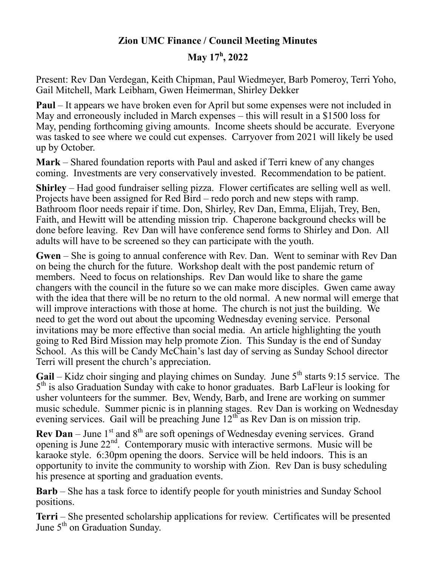### **Zion UMC Finance / Council Meeting Minutes**

### **May 17<sup>h</sup> , 2022**

Present: Rev Dan Verdegan, Keith Chipman, Paul Wiedmeyer, Barb Pomeroy, Terri Yoho, Gail Mitchell, Mark Leibham, Gwen Heimerman, Shirley Dekker

**Paul** – It appears we have broken even for April but some expenses were not included in May and erroneously included in March expenses – this will result in a \$1500 loss for May, pending forthcoming giving amounts. Income sheets should be accurate. Everyone was tasked to see where we could cut expenses. Carryover from 2021 will likely be used up by October.

**Mark** – Shared foundation reports with Paul and asked if Terri knew of any changes coming. Investments are very conservatively invested. Recommendation to be patient.

**Shirley** – Had good fundraiser selling pizza. Flower certificates are selling well as well. Projects have been assigned for Red Bird – redo porch and new steps with ramp. Bathroom floor needs repair if time. Don, Shirley, Rev Dan, Emma, Elijah, Trey, Ben, Faith, and Hewitt will be attending mission trip. Chaperone background checks will be done before leaving. Rev Dan will have conference send forms to Shirley and Don. All adults will have to be screened so they can participate with the youth.

**Gwen** – She is going to annual conference with Rev. Dan. Went to seminar with Rev Dan on being the church for the future. Workshop dealt with the post pandemic return of members. Need to focus on relationships. Rev Dan would like to share the game changers with the council in the future so we can make more disciples. Gwen came away with the idea that there will be no return to the old normal. A new normal will emerge that will improve interactions with those at home. The church is not just the building. We need to get the word out about the upcoming Wednesday evening service. Personal invitations may be more effective than social media. An article highlighting the youth going to Red Bird Mission may help promote Zion. This Sunday is the end of Sunday School. As this will be Candy McChain's last day of serving as Sunday School director Terri will present the church's appreciation.

Gail – Kidz choir singing and playing chimes on Sunday. June 5<sup>th</sup> starts 9:15 service. The 5<sup>th</sup> is also Graduation Sunday with cake to honor graduates. Barb LaFleur is looking for usher volunteers for the summer. Bev, Wendy, Barb, and Irene are working on summer music schedule. Summer picnic is in planning stages. Rev Dan is working on Wednesday evening services. Gail will be preaching June  $12^{th}$  as Rev Dan is on mission trip.

**Rev Dan** – June  $1<sup>st</sup>$  and  $8<sup>th</sup>$  are soft openings of Wednesday evening services. Grand opening is June  $22<sup>nd</sup>$ . Contemporary music with interactive sermons. Music will be karaoke style. 6:30pm opening the doors. Service will be held indoors. This is an opportunity to invite the community to worship with Zion. Rev Dan is busy scheduling his presence at sporting and graduation events.

**Barb** – She has a task force to identify people for youth ministries and Sunday School positions.

**Terri** – She presented scholarship applications for review. Certificates will be presented June  $5<sup>th</sup>$  on Graduation Sunday.